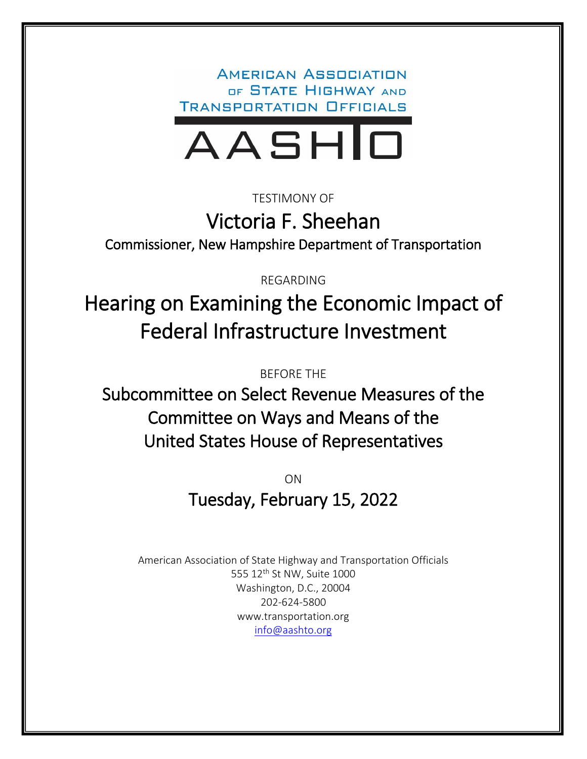**AMERICAN ASSOCIATION** OF STATE HIGHWAY AND **TRANSPORTATION OFFICIALS** 



TESTIMONY OF

Victoria F. Sheehan

Commissioner, New Hampshire Department of Transportation

REGARDING

Hearing on Examining the Economic Impact of Federal Infrastructure Investment

BEFORE THE

Subcommittee on Select Revenue Measures of the Committee on Ways and Means of the United States House of Representatives

> ON Tuesday, February 15, 2022

American Association of State Highway and Transportation Officials 555 12<sup>th</sup> St NW, Suite 1000 Washington, D.C., 20004 202-624-5800 www.transportation.org [info@aashto.org](mailto:info@aashto.org)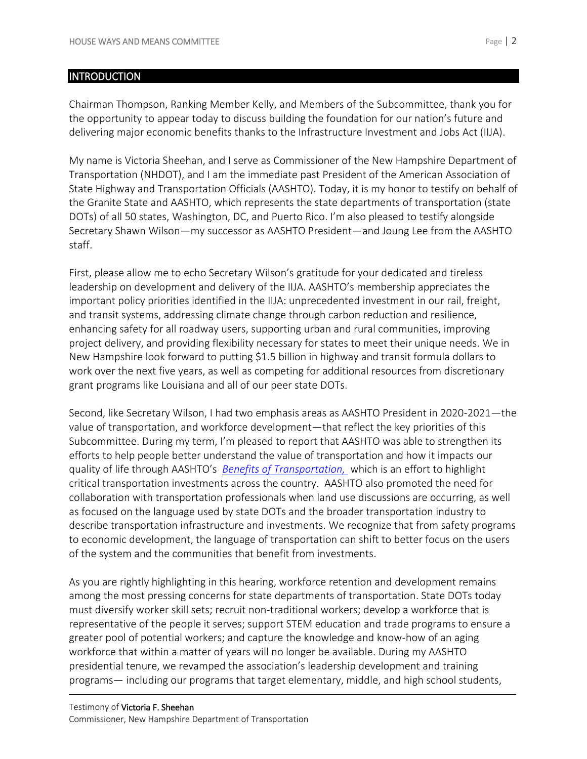#### **INTRODUCTION**

Chairman Thompson, Ranking Member Kelly, and Members of the Subcommittee, thank you for the opportunity to appear today to discuss building the foundation for our nation's future and delivering major economic benefits thanks to the Infrastructure Investment and Jobs Act (IIJA).

My name is Victoria Sheehan, and I serve as Commissioner of the New Hampshire Department of Transportation (NHDOT), and I am the immediate past President of the American Association of State Highway and Transportation Officials (AASHTO). Today, it is my honor to testify on behalf of the Granite State and AASHTO, which represents the state departments of transportation (state DOTs) of all 50 states, Washington, DC, and Puerto Rico. I'm also pleased to testify alongside Secretary Shawn Wilson—my successor as AASHTO President—and Joung Lee from the AASHTO staff.

First, please allow me to echo Secretary Wilson's gratitude for your dedicated and tireless leadership on development and delivery of the IIJA. AASHTO's membership appreciates the important policy priorities identified in the IIJA: unprecedented investment in our rail, freight, and transit systems, addressing climate change through carbon reduction and resilience, enhancing safety for all roadway users, supporting urban and rural communities, improving project delivery, and providing flexibility necessary for states to meet their unique needs. We in New Hampshire look forward to putting \$1.5 billion in highway and transit formula dollars to work over the next five years, as well as competing for additional resources from discretionary grant programs like Louisiana and all of our peer state DOTs.

Second, like Secretary Wilson, I had two emphasis areas as AASHTO President in 2020-2021—the value of transportation, and workforce development—that reflect the key priorities of this Subcommittee. During my term, I'm pleased to report that AASHTO was able to strengthen its efforts to help people better understand the value of transportation and how it impacts our quality of life through AASHTO's *[Benefits of Transportation,](https://benefits.transportation.org/)* which is an effort to highlight critical transportation investments across the country. AASHTO also promoted the need for collaboration with transportation professionals when land use discussions are occurring, as well as focused on the language used by state DOTs and the broader transportation industry to describe transportation infrastructure and investments. We recognize that from safety programs to economic development, the language of transportation can shift to better focus on the users of the system and the communities that benefit from investments.

As you are rightly highlighting in this hearing, workforce retention and development remains among the most pressing concerns for state departments of transportation. State DOTs today must diversify worker skill sets; recruit non-traditional workers; develop a workforce that is representative of the people it serves; support STEM education and trade programs to ensure a greater pool of potential workers; and capture the knowledge and know-how of an aging workforce that within a matter of years will no longer be available. During my AASHTO presidential tenure, we revamped the association's leadership development and training programs— including our programs that target elementary, middle, and high school students,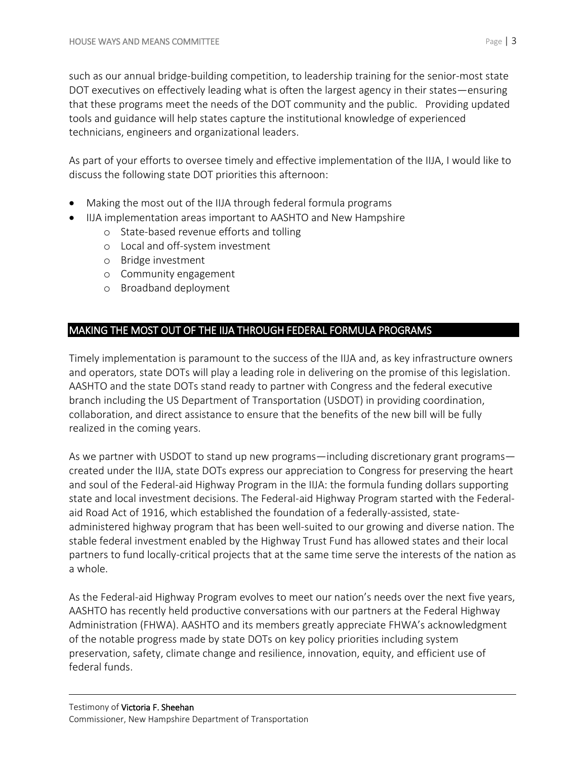such as our annual bridge-building competition, to leadership training for the senior-most state DOT executives on effectively leading what is often the largest agency in their states—ensuring that these programs meet the needs of the DOT community and the public. Providing updated tools and guidance will help states capture the institutional knowledge of experienced technicians, engineers and organizational leaders.

As part of your efforts to oversee timely and effective implementation of the IIJA, I would like to discuss the following state DOT priorities this afternoon:

- Making the most out of the IIJA through federal formula programs
	- IIJA implementation areas important to AASHTO and New Hampshire
		- o State-based revenue efforts and tolling
		- o Local and off-system investment
		- o Bridge investment
		- o Community engagement
		- o Broadband deployment

# MAKING THE MOST OUT OF THE IIJA THROUGH FEDERAL FORMULA PROGRAMS

Timely implementation is paramount to the success of the IIJA and, as key infrastructure owners and operators, state DOTs will play a leading role in delivering on the promise of this legislation. AASHTO and the state DOTs stand ready to partner with Congress and the federal executive branch including the US Department of Transportation (USDOT) in providing coordination, collaboration, and direct assistance to ensure that the benefits of the new bill will be fully realized in the coming years.

As we partner with USDOT to stand up new programs—including discretionary grant programs created under the IIJA, state DOTs express our appreciation to Congress for preserving the heart and soul of the Federal-aid Highway Program in the IIJA: the formula funding dollars supporting state and local investment decisions. The Federal-aid Highway Program started with the Federalaid Road Act of 1916, which established the foundation of a federally-assisted, stateadministered highway program that has been well-suited to our growing and diverse nation. The stable federal investment enabled by the Highway Trust Fund has allowed states and their local partners to fund locally-critical projects that at the same time serve the interests of the nation as a whole.

As the Federal-aid Highway Program evolves to meet our nation's needs over the next five years, AASHTO has recently held productive conversations with our partners at the Federal Highway Administration (FHWA). AASHTO and its members greatly appreciate FHWA's acknowledgment of the notable progress made by state DOTs on key policy priorities including system preservation, safety, climate change and resilience, innovation, equity, and efficient use of federal funds.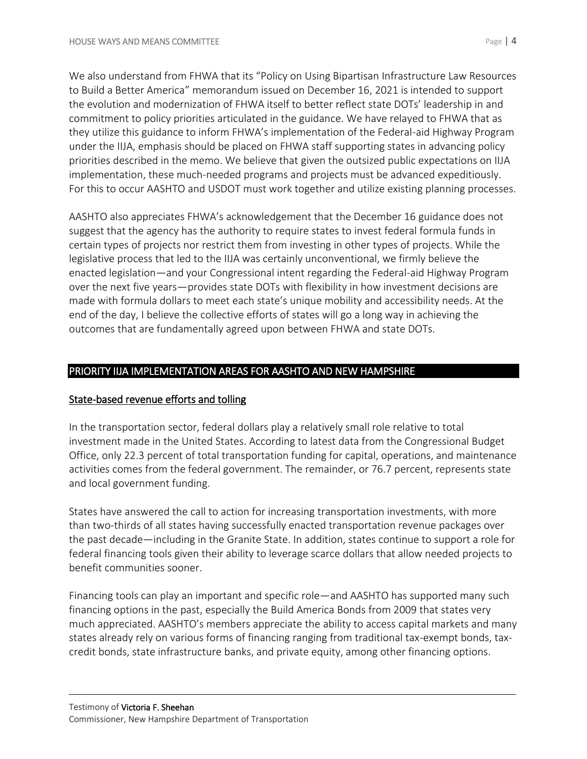We also understand from FHWA that its "Policy on Using Bipartisan Infrastructure Law Resources to Build a Better America" memorandum issued on December 16, 2021 is intended to support the evolution and modernization of FHWA itself to better reflect state DOTs' leadership in and commitment to policy priorities articulated in the guidance. We have relayed to FHWA that as they utilize this guidance to inform FHWA's implementation of the Federal-aid Highway Program under the IIJA, emphasis should be placed on FHWA staff supporting states in advancing policy priorities described in the memo. We believe that given the outsized public expectations on IIJA implementation, these much-needed programs and projects must be advanced expeditiously. For this to occur AASHTO and USDOT must work together and utilize existing planning processes.

AASHTO also appreciates FHWA's acknowledgement that the December 16 guidance does not suggest that the agency has the authority to require states to invest federal formula funds in certain types of projects nor restrict them from investing in other types of projects. While the legislative process that led to the IIJA was certainly unconventional, we firmly believe the enacted legislation—and your Congressional intent regarding the Federal-aid Highway Program over the next five years—provides state DOTs with flexibility in how investment decisions are made with formula dollars to meet each state's unique mobility and accessibility needs. At the end of the day, I believe the collective efforts of states will go a long way in achieving the outcomes that are fundamentally agreed upon between FHWA and state DOTs.

# PRIORITY IIJA IMPLEMENTATION AREAS FOR AASHTO AND NEW HAMPSHIRE

## State-based revenue efforts and tolling

In the transportation sector, federal dollars play a relatively small role relative to total investment made in the United States. According to latest data from the Congressional Budget Office, only 22.3 percent of total transportation funding for capital, operations, and maintenance activities comes from the federal government. The remainder, or 76.7 percent, represents state and local government funding.

States have answered the call to action for increasing transportation investments, with more than two-thirds of all states having successfully enacted transportation revenue packages over the past decade—including in the Granite State. In addition, states continue to support a role for federal financing tools given their ability to leverage scarce dollars that allow needed projects to benefit communities sooner.

Financing tools can play an important and specific role—and AASHTO has supported many such financing options in the past, especially the Build America Bonds from 2009 that states very much appreciated. AASHTO's members appreciate the ability to access capital markets and many states already rely on various forms of financing ranging from traditional tax-exempt bonds, taxcredit bonds, state infrastructure banks, and private equity, among other financing options.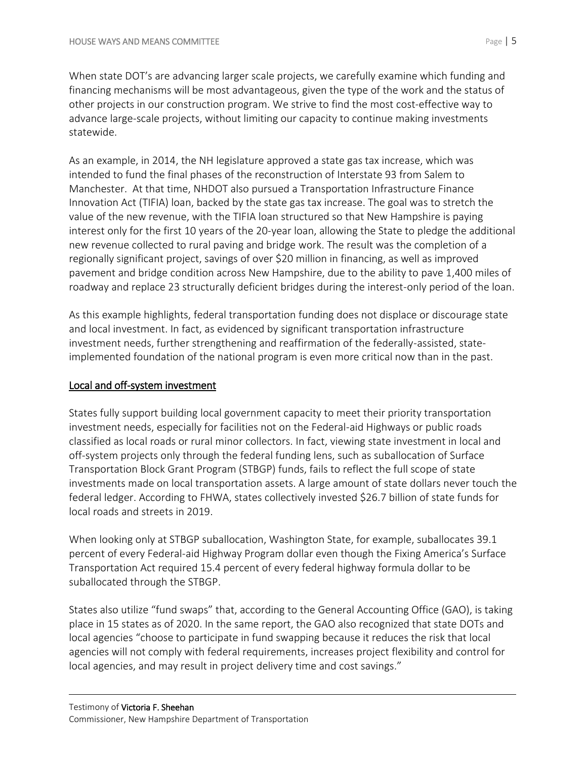When state DOT's are advancing larger scale projects, we carefully examine which funding and financing mechanisms will be most advantageous, given the type of the work and the status of other projects in our construction program. We strive to find the most cost-effective way to advance large-scale projects, without limiting our capacity to continue making investments statewide.

As an example, in 2014, the NH legislature approved a state gas tax increase, which was intended to fund the final phases of the reconstruction of Interstate 93 from Salem to Manchester. At that time, NHDOT also pursued a Transportation Infrastructure Finance Innovation Act (TIFIA) loan, backed by the state gas tax increase. The goal was to stretch the value of the new revenue, with the TIFIA loan structured so that New Hampshire is paying interest only for the first 10 years of the 20-year loan, allowing the State to pledge the additional new revenue collected to rural paving and bridge work. The result was the completion of a regionally significant project, savings of over \$20 million in financing, as well as improved pavement and bridge condition across New Hampshire, due to the ability to pave 1,400 miles of roadway and replace 23 structurally deficient bridges during the interest-only period of the loan.

As this example highlights, federal transportation funding does not displace or discourage state and local investment. In fact, as evidenced by significant transportation infrastructure investment needs, further strengthening and reaffirmation of the federally-assisted, stateimplemented foundation of the national program is even more critical now than in the past.

## Local and off-system investment

States fully support building local government capacity to meet their priority transportation investment needs, especially for facilities not on the Federal-aid Highways or public roads classified as local roads or rural minor collectors. In fact, viewing state investment in local and off-system projects only through the federal funding lens, such as suballocation of Surface Transportation Block Grant Program (STBGP) funds, fails to reflect the full scope of state investments made on local transportation assets. A large amount of state dollars never touch the federal ledger. According to FHWA, states collectively invested \$26.7 billion of state funds for local roads and streets in 2019.

When looking only at STBGP suballocation, Washington State, for example, suballocates 39.1 percent of every Federal-aid Highway Program dollar even though the Fixing America's Surface Transportation Act required 15.4 percent of every federal highway formula dollar to be suballocated through the STBGP.

States also utilize "fund swaps" that, according to the General Accounting Office (GAO), is taking place in 15 states as of 2020. In the same report, the GAO also recognized that state DOTs and local agencies "choose to participate in fund swapping because it reduces the risk that local agencies will not comply with federal requirements, increases project flexibility and control for local agencies, and may result in project delivery time and cost savings."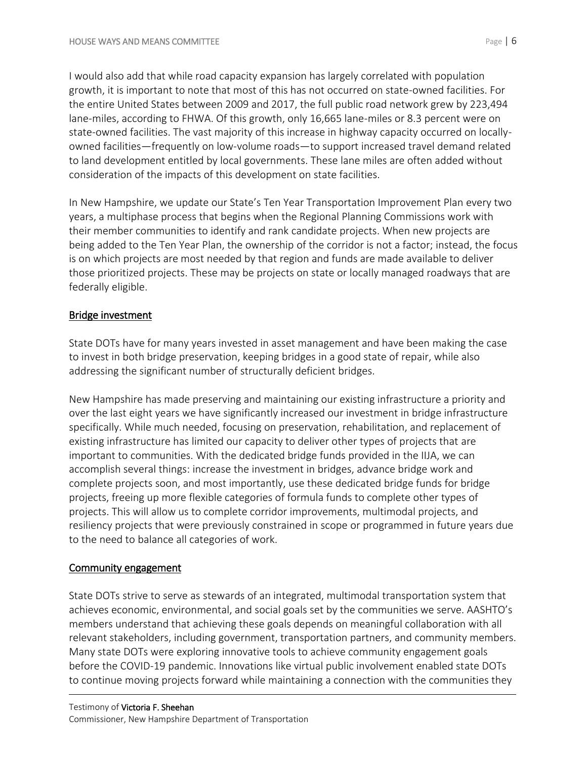I would also add that while road capacity expansion has largely correlated with population growth, it is important to note that most of this has not occurred on state-owned facilities. For the entire United States between 2009 and 2017, the full public road network grew by 223,494 lane-miles, according to FHWA. Of this growth, only 16,665 lane-miles or 8.3 percent were on state-owned facilities. The vast majority of this increase in highway capacity occurred on locallyowned facilities—frequently on low-volume roads—to support increased travel demand related to land development entitled by local governments. These lane miles are often added without consideration of the impacts of this development on state facilities.

In New Hampshire, we update our State's Ten Year Transportation Improvement Plan every two years, a multiphase process that begins when the Regional Planning Commissions work with their member communities to identify and rank candidate projects. When new projects are being added to the Ten Year Plan, the ownership of the corridor is not a factor; instead, the focus is on which projects are most needed by that region and funds are made available to deliver those prioritized projects. These may be projects on state or locally managed roadways that are federally eligible.

## Bridge investment

State DOTs have for many years invested in asset management and have been making the case to invest in both bridge preservation, keeping bridges in a good state of repair, while also addressing the significant number of structurally deficient bridges.

New Hampshire has made preserving and maintaining our existing infrastructure a priority and over the last eight years we have significantly increased our investment in bridge infrastructure specifically. While much needed, focusing on preservation, rehabilitation, and replacement of existing infrastructure has limited our capacity to deliver other types of projects that are important to communities. With the dedicated bridge funds provided in the IIJA, we can accomplish several things: increase the investment in bridges, advance bridge work and complete projects soon, and most importantly, use these dedicated bridge funds for bridge projects, freeing up more flexible categories of formula funds to complete other types of projects. This will allow us to complete corridor improvements, multimodal projects, and resiliency projects that were previously constrained in scope or programmed in future years due to the need to balance all categories of work.

## Community engagement

State DOTs strive to serve as stewards of an integrated, multimodal transportation system that achieves economic, environmental, and social goals set by the communities we serve. AASHTO's members understand that achieving these goals depends on meaningful collaboration with all relevant stakeholders, including government, transportation partners, and community members. Many state DOTs were exploring innovative tools to achieve community engagement goals before the COVID-19 pandemic. Innovations like virtual public involvement enabled state DOTs to continue moving projects forward while maintaining a connection with the communities they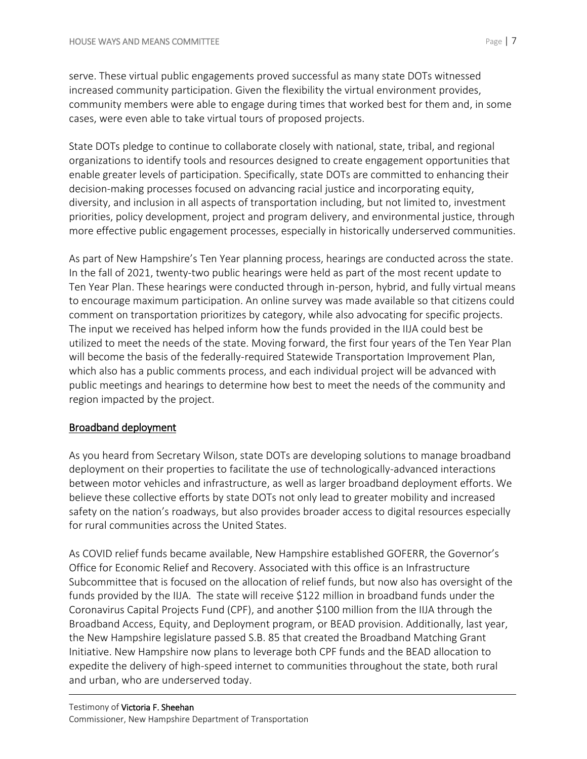serve. These virtual public engagements proved successful as many state DOTs witnessed increased community participation. Given the flexibility the virtual environment provides, community members were able to engage during times that worked best for them and, in some cases, were even able to take virtual tours of proposed projects.

State DOTs pledge to continue to collaborate closely with national, state, tribal, and regional organizations to identify tools and resources designed to create engagement opportunities that enable greater levels of participation. Specifically, state DOTs are committed to enhancing their decision-making processes focused on advancing racial justice and incorporating equity, diversity, and inclusion in all aspects of transportation including, but not limited to, investment priorities, policy development, project and program delivery, and environmental justice, through more effective public engagement processes, especially in historically underserved communities.

As part of New Hampshire's Ten Year planning process, hearings are conducted across the state. In the fall of 2021, twenty-two public hearings were held as part of the most recent update to Ten Year Plan. These hearings were conducted through in-person, hybrid, and fully virtual means to encourage maximum participation. An online survey was made available so that citizens could comment on transportation prioritizes by category, while also advocating for specific projects. The input we received has helped inform how the funds provided in the IIJA could best be utilized to meet the needs of the state. Moving forward, the first four years of the Ten Year Plan will become the basis of the federally-required Statewide Transportation Improvement Plan, which also has a public comments process, and each individual project will be advanced with public meetings and hearings to determine how best to meet the needs of the community and region impacted by the project.

## Broadband deployment

As you heard from Secretary Wilson, state DOTs are developing solutions to manage broadband deployment on their properties to facilitate the use of technologically-advanced interactions between motor vehicles and infrastructure, as well as larger broadband deployment efforts. We believe these collective efforts by state DOTs not only lead to greater mobility and increased safety on the nation's roadways, but also provides broader access to digital resources especially for rural communities across the United States.

As COVID relief funds became available, New Hampshire established GOFERR, the Governor's Office for Economic Relief and Recovery. Associated with this office is an Infrastructure Subcommittee that is focused on the allocation of relief funds, but now also has oversight of the funds provided by the IIJA. The state will receive \$122 million in broadband funds under the Coronavirus Capital Projects Fund (CPF), and another \$100 million from the IIJA through the Broadband Access, Equity, and Deployment program, or BEAD provision. Additionally, last year, the New Hampshire legislature passed S.B. 85 that created the Broadband Matching Grant Initiative. New Hampshire now plans to leverage both CPF funds and the BEAD allocation to expedite the delivery of high-speed internet to communities throughout the state, both rural and urban, who are underserved today.